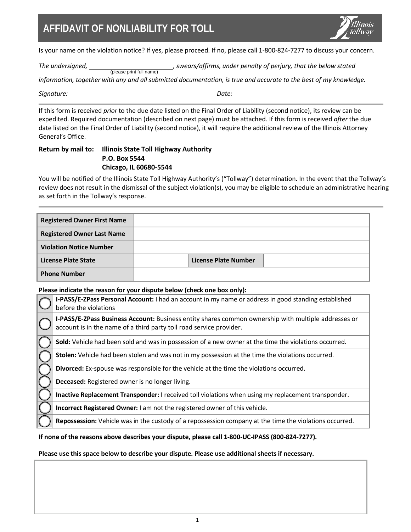## **AFFIDAVIT OF NONLIABILITY FOR TOLL**



Is your name on the violation notice? If yes, please proceed. If no, please call 1-800-824-7277 to discuss your concern.

The undersigned, \_\_\_\_\_\_\_\_\_<sub>(please print full name) swears/affirms, under penalty of perjury, that the below stated</sub>

*information, together with any and all submitted documentation, is true and accurate to the best of my knowledge.*

*Signature: Date:* 

If this form is received *prior* to the due date listed on the Final Order of Liability (second notice), its review can be expedited. Required documentation (described on next page) must be attached. If this form is received *after* the due date listed on the Final Order of Liability (second notice), it will require the additional review of the Illinois Attorney General's Office.

#### **Return by mail to: Illinois State Toll Highway Authority P.O. Box 5544 Chicago, IL 60680-5544**

You will be notified of the Illinois State Toll Highway Authority's ("Tollway") determination. In the event that the Tollway's review does not result in the dismissal of the subject violation(s), you may be eligible to schedule an administrative hearing as set forth in the Tollway's response.

| <b>Registered Owner First Name</b> |                      |  |
|------------------------------------|----------------------|--|
| <b>Registered Owner Last Name</b>  |                      |  |
| <b>Violation Notice Number</b>     |                      |  |
| License Plate State                | License Plate Number |  |
| <b>Phone Number</b>                |                      |  |

#### **Please indicate the reason for your dispute below (check one box only):**

| Ficase indicate the reason for your uispute below teneck one box only).                                                                                                    |  |  |
|----------------------------------------------------------------------------------------------------------------------------------------------------------------------------|--|--|
| I-PASS/E-ZPass Personal Account: I had an account in my name or address in good standing established<br>before the violations                                              |  |  |
| I-PASS/E-ZPass Business Account: Business entity shares common ownership with multiple addresses or<br>account is in the name of a third party toll road service provider. |  |  |
| Sold: Vehicle had been sold and was in possession of a new owner at the time the violations occurred.                                                                      |  |  |
| Stolen: Vehicle had been stolen and was not in my possession at the time the violations occurred.                                                                          |  |  |
| Divorced: Ex-spouse was responsible for the vehicle at the time the violations occurred.                                                                                   |  |  |
| Deceased: Registered owner is no longer living.                                                                                                                            |  |  |
| Inactive Replacement Transponder: I received toll violations when using my replacement transponder.                                                                        |  |  |
| Incorrect Registered Owner: I am not the registered owner of this vehicle.                                                                                                 |  |  |
| Repossession: Vehicle was in the custody of a repossession company at the time the violations occurred.                                                                    |  |  |

#### **If none of the reasons above describes your dispute, please call 1-800-UC-IPASS (800-824-7277).**

#### **Please use this space below to describe your dispute. Please use additional sheets if necessary.**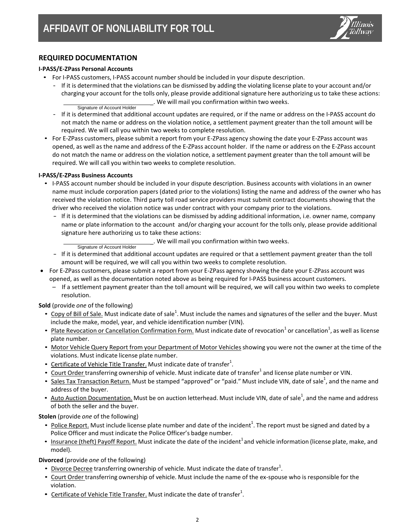

### **REQUIRED DOCUMENTATION**

#### **I-PASS/E-ZPass Personal Accounts**

- For I-PASS customers, I-PASS account number should be included in your dispute description.
	- If it is determined that the violations can be dismissed by adding the violating license plate to your account and/or charging your account for the tolls only, please provide additional signature here authorizing us to take these actions: \_. We will mail you confirmation within two weeks. Signature of Account Holder

- If it is determined that additional account updates are required, or if the name or address on the I-PASS account do not match the name or address on the violation notice, a settlement payment greater than the toll amount will be required. We will call you within two weeks to complete resolution.
- For E-ZPass customers, please submit a report from your E-ZPass agency showing the date your E-ZPass account was opened, as well as the name and address of the E-ZPass account holder. If the name or address on the E-ZPass account do not match the name or address on the violation notice, a settlement payment greater than the toll amount will be required. We will call you within two weeks to complete resolution.

#### **I-PASS/E-ZPass Business Accounts**

- I-PASS account number should be included in your dispute description. Business accounts with violations in an owner name must include corporation papers (dated prior to the violations) listing the name and address of the owner who has received the violation notice. Third party toll road service providers must submit contract documents showing that the driver who received the violation notice was under contract with your company prior to the violations.
	- If it is determined that the violations can be dismissed by adding additional information, i.e. owner name, company name or plate information to the account and/or charging your account for the tolls only, please provide additional signature here authorizing us to take these actions:

\_. We will mail you confirmation within two weeks. Signature of Account Holder

- If it is determined that additional account updates are required or that a settlement payment greater than the toll amount will be required, we will call you within two weeks to complete resolution.
- For E-ZPass customers, please submit a report from your E-ZPass agency showing the date your E-ZPass account was opened, as well as the documentation noted above as being required for I-PASS business account customers.
	- If a settlement payment greater than the toll amount will be required, we will call you within two weeks to complete resolution.

**Sold** (provide *one* of the following)

- $\bullet$  Copy of Bill of Sale. Must indicate date of sale<sup>1</sup>. Must include the names and signatures of the seller and the buyer. Must include the make, model, year, and vehicle identification number (VIN).
- Plate Revocation or Cancellation Confirmation Form. Must indicate date of revocation<sup>1</sup> or cancellation<sup>1</sup>, as well as license plate number.
- Motor Vehicle Query Report from your Department of Motor Vehicles showing you were not the owner at the time of the violations. Must indicate license plate number.
- $\bullet$  Certificate of Vehicle Title Transfer. Must indicate date of transfer<sup>1</sup>.
- Court Order transferring ownership of vehicle. Must indicate date of transfer<sup>1</sup> and license plate number or VIN.
- Sales Tax Transaction Return. Must be stamped "approved" or "paid." Must include VIN, date of sale<sup>1</sup>, and the name and address of the buyer.
- Auto Auction Documentation. Must be on auction letterhead. Must include VIN, date of sale<sup>1</sup>, and the name and address of both the seller and the buyer.

**Stolen** (provide *one* of the following)

- Police Report. Must include license plate number and date of the incident<sup>1</sup>. The report must be signed and dated by a Police Officer and must indicate the Police Officer's badge number.
- Insurance (theft) Payoff Report. Must indicate the date of the incident<sup>1</sup> and vehicle information (license plate, make, and model).

**Divorced** (provide *one* of the following)

- $\bullet$  Divorce Decree transferring ownership of vehicle. Must indicate the date of transfer<sup>1</sup>.
- Court Order transferring ownership of vehicle. Must include the name of the ex-spouse who is responsible for the violation.
- $\bullet$  Certificate of Vehicle Title Transfer. Must indicate the date of transfer<sup>1</sup>.